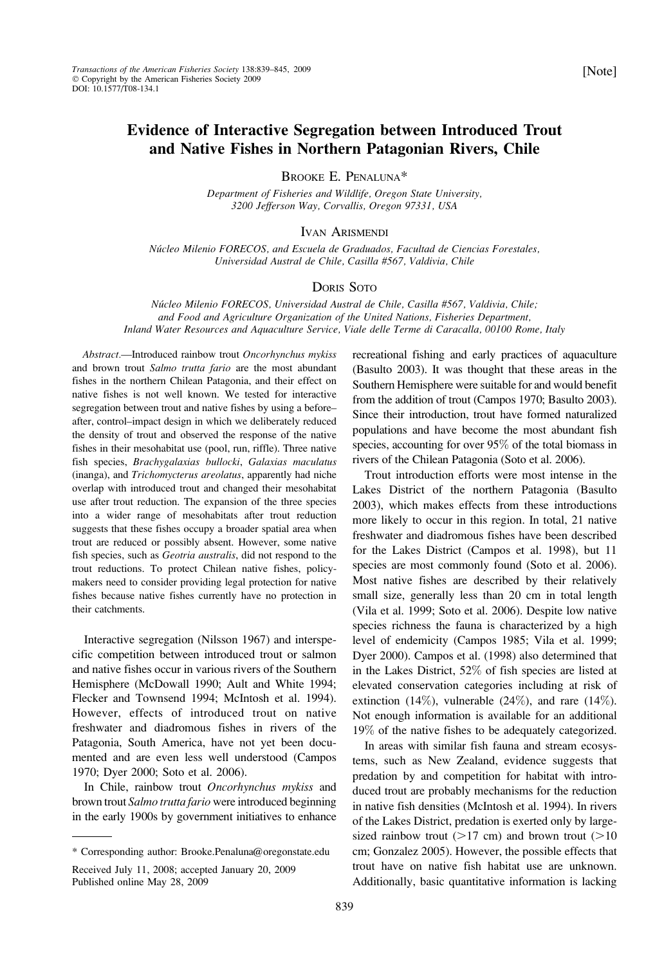# Evidence of Interactive Segregation between Introduced Trout and Native Fishes in Northern Patagonian Rivers, Chile

BROOKE E. PENALUNA\*

Department of Fisheries and Wildlife, Oregon State University, 3200 Jefferson Way, Corvallis, Oregon 97331, USA

#### IVAN ARISMENDI

Núcleo Milenio FORECOS, and Escuela de Graduados, Facultad de Ciencias Forestales, Universidad Austral de Chile, Casilla #567, Valdivia, Chile

# DORIS SOTO

Núcleo Milenio FORECOS, Universidad Austral de Chile, Casilla #567, Valdivia, Chile; and Food and Agriculture Organization of the United Nations, Fisheries Department, Inland Water Resources and Aquaculture Service, Viale delle Terme di Caracalla, 00100 Rome, Italy

Abstract.—Introduced rainbow trout Oncorhynchus mykiss and brown trout Salmo trutta fario are the most abundant fishes in the northern Chilean Patagonia, and their effect on native fishes is not well known. We tested for interactive segregation between trout and native fishes by using a before– after, control–impact design in which we deliberately reduced the density of trout and observed the response of the native fishes in their mesohabitat use (pool, run, riffle). Three native fish species, Brachygalaxias bullocki, Galaxias maculatus (inanga), and Trichomycterus areolatus, apparently had niche overlap with introduced trout and changed their mesohabitat use after trout reduction. The expansion of the three species into a wider range of mesohabitats after trout reduction suggests that these fishes occupy a broader spatial area when trout are reduced or possibly absent. However, some native fish species, such as Geotria australis, did not respond to the trout reductions. To protect Chilean native fishes, policymakers need to consider providing legal protection for native fishes because native fishes currently have no protection in their catchments.

Interactive segregation (Nilsson 1967) and interspecific competition between introduced trout or salmon and native fishes occur in various rivers of the Southern Hemisphere (McDowall 1990; Ault and White 1994; Flecker and Townsend 1994; McIntosh et al. 1994). However, effects of introduced trout on native freshwater and diadromous fishes in rivers of the Patagonia, South America, have not yet been documented and are even less well understood (Campos 1970; Dyer 2000; Soto et al. 2006).

In Chile, rainbow trout Oncorhynchus mykiss and brown trout Salmo trutta fario were introduced beginning in the early 1900s by government initiatives to enhance

recreational fishing and early practices of aquaculture (Basulto 2003). It was thought that these areas in the Southern Hemisphere were suitable for and would benefit from the addition of trout (Campos 1970; Basulto 2003). Since their introduction, trout have formed naturalized populations and have become the most abundant fish species, accounting for over 95% of the total biomass in rivers of the Chilean Patagonia (Soto et al. 2006).

Trout introduction efforts were most intense in the Lakes District of the northern Patagonia (Basulto 2003), which makes effects from these introductions more likely to occur in this region. In total, 21 native freshwater and diadromous fishes have been described for the Lakes District (Campos et al. 1998), but 11 species are most commonly found (Soto et al. 2006). Most native fishes are described by their relatively small size, generally less than 20 cm in total length (Vila et al. 1999; Soto et al. 2006). Despite low native species richness the fauna is characterized by a high level of endemicity (Campos 1985; Vila et al. 1999; Dyer 2000). Campos et al. (1998) also determined that in the Lakes District, 52% of fish species are listed at elevated conservation categories including at risk of extinction (14%), vulnerable (24%), and rare (14%). Not enough information is available for an additional 19% of the native fishes to be adequately categorized.

In areas with similar fish fauna and stream ecosystems, such as New Zealand, evidence suggests that predation by and competition for habitat with introduced trout are probably mechanisms for the reduction in native fish densities (McIntosh et al. 1994). In rivers of the Lakes District, predation is exerted only by largesized rainbow trout  $(>17 \text{ cm})$  and brown trout  $(>10 \text{ cm})$ cm; Gonzalez 2005). However, the possible effects that trout have on native fish habitat use are unknown. Additionally, basic quantitative information is lacking

<sup>\*</sup> Corresponding author: Brooke.Penaluna@oregonstate.edu

Received July 11, 2008; accepted January 20, 2009 Published online May 28, 2009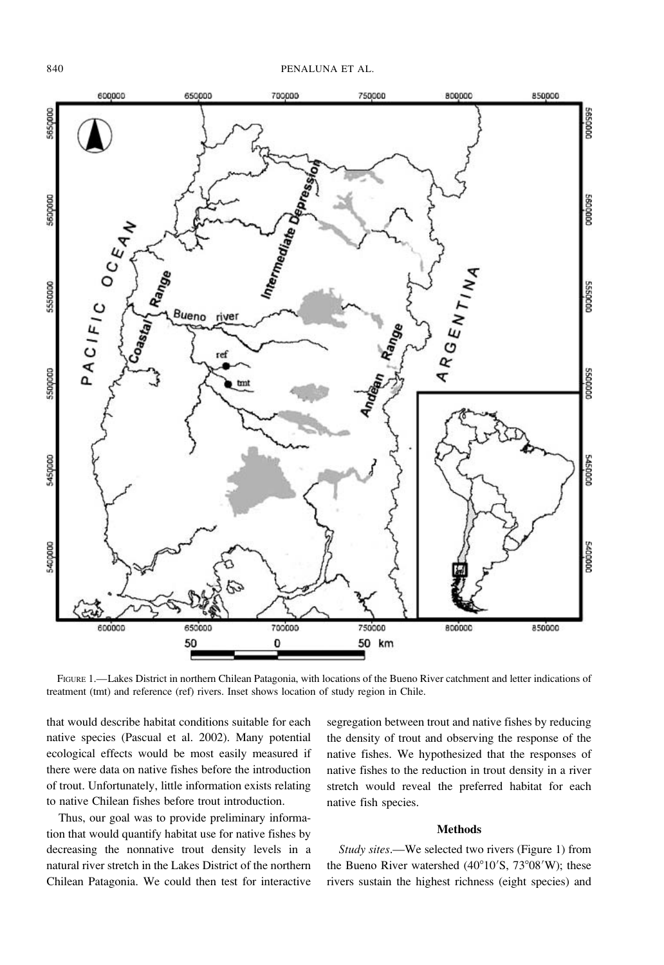

FIGURE 1.—Lakes District in northern Chilean Patagonia, with locations of the Bueno River catchment and letter indications of treatment (tmt) and reference (ref) rivers. Inset shows location of study region in Chile.

that would describe habitat conditions suitable for each native species (Pascual et al. 2002). Many potential ecological effects would be most easily measured if there were data on native fishes before the introduction of trout. Unfortunately, little information exists relating to native Chilean fishes before trout introduction.

Thus, our goal was to provide preliminary information that would quantify habitat use for native fishes by decreasing the nonnative trout density levels in a natural river stretch in the Lakes District of the northern Chilean Patagonia. We could then test for interactive

segregation between trout and native fishes by reducing the density of trout and observing the response of the native fishes. We hypothesized that the responses of native fishes to the reduction in trout density in a river stretch would reveal the preferred habitat for each native fish species.

#### Methods

Study sites.—We selected two rivers (Figure 1) from the Bueno River watershed  $(40^{\circ}10^{\prime}S, 73^{\circ}08^{\prime}W)$ ; these rivers sustain the highest richness (eight species) and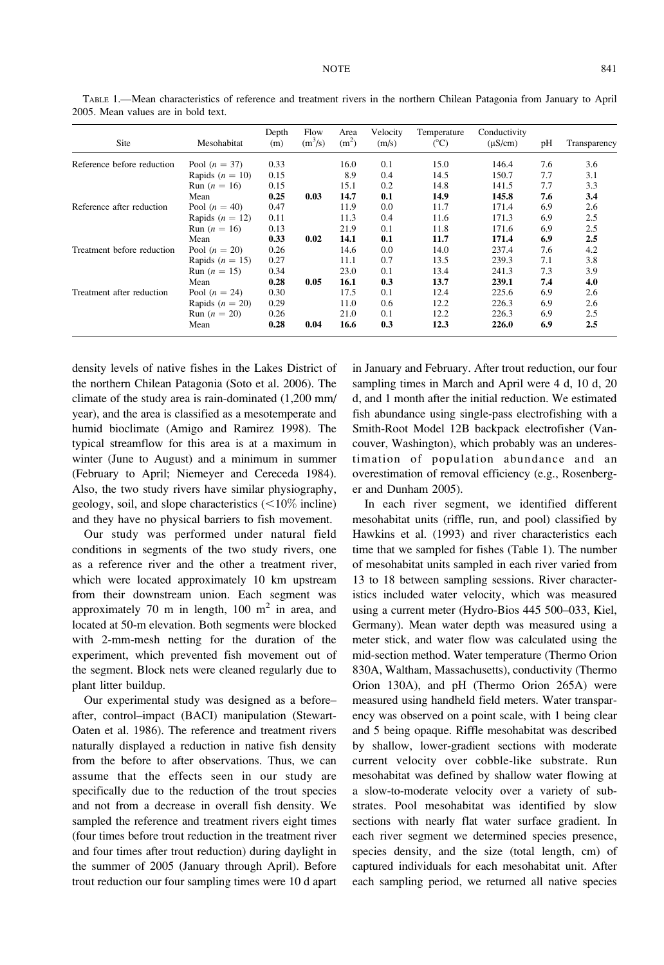| Site                       | Mesohabitat       | Depth<br>(m) | Flow<br>$(m^3/s)$ | Area<br>(m <sup>2</sup> ) | Velocity<br>(m/s) | Temperature<br>$(^{\circ}C)$ | Conductivity<br>$(\mu S/cm)$ | pH  | Transparency |
|----------------------------|-------------------|--------------|-------------------|---------------------------|-------------------|------------------------------|------------------------------|-----|--------------|
| Reference before reduction | Pool $(n=37)$     | 0.33         |                   | 16.0                      | 0.1               | 15.0                         | 146.4                        | 7.6 | 3.6          |
|                            | Rapids $(n = 10)$ | 0.15         |                   | 8.9                       | 0.4               | 14.5                         | 150.7                        | 7.7 | 3.1          |
|                            | Run $(n = 16)$    | 0.15         |                   | 15.1                      | 0.2               | 14.8                         | 141.5                        | 7.7 | 3.3          |
|                            | Mean              | 0.25         | 0.03              | 14.7                      | 0.1               | 14.9                         | 145.8                        | 7.6 | 3.4          |
| Reference after reduction  | Pool $(n=40)$     | 0.47         |                   | 11.9                      | 0.0               | 11.7                         | 171.4                        | 6.9 | 2.6          |
|                            | Rapids $(n = 12)$ | 0.11         |                   | 11.3                      | 0.4               | 11.6                         | 171.3                        | 6.9 | 2.5          |
|                            | Run $(n = 16)$    | 0.13         |                   | 21.9                      | 0.1               | 11.8                         | 171.6                        | 6.9 | 2.5          |
|                            | Mean              | 0.33         | 0.02              | 14.1                      | 0.1               | 11.7                         | 171.4                        | 6.9 | 2.5          |
| Treatment before reduction | Pool $(n=20)$     | 0.26         |                   | 14.6                      | 0.0               | 14.0                         | 237.4                        | 7.6 | 4.2          |
|                            | Rapids $(n = 15)$ | 0.27         |                   | 11.1                      | 0.7               | 13.5                         | 239.3                        | 7.1 | 3.8          |
|                            | $Run (n = 15)$    | 0.34         |                   | 23.0                      | 0.1               | 13.4                         | 241.3                        | 7.3 | 3.9          |
|                            | Mean              | 0.28         | 0.05              | 16.1                      | 0.3               | 13.7                         | 239.1                        | 7.4 | 4.0          |
| Treatment after reduction  | Pool $(n = 24)$   | 0.30         |                   | 17.5                      | 0.1               | 12.4                         | 225.6                        | 6.9 | 2.6          |
|                            | Rapids $(n = 20)$ | 0.29         |                   | 11.0                      | 0.6               | 12.2                         | 226.3                        | 6.9 | 2.6          |
|                            | $Run (n = 20)$    | 0.26         |                   | 21.0                      | 0.1               | 12.2                         | 226.3                        | 6.9 | 2.5          |
|                            | Mean              | 0.28         | 0.04              | 16.6                      | 0.3               | 12.3                         | 226.0                        | 6.9 | 2.5          |

TABLE 1.—Mean characteristics of reference and treatment rivers in the northern Chilean Patagonia from January to April 2005. Mean values are in bold text.

density levels of native fishes in the Lakes District of the northern Chilean Patagonia (Soto et al. 2006). The climate of the study area is rain-dominated (1,200 mm/ year), and the area is classified as a mesotemperate and humid bioclimate (Amigo and Ramirez 1998). The typical streamflow for this area is at a maximum in winter (June to August) and a minimum in summer (February to April; Niemeyer and Cereceda 1984). Also, the two study rivers have similar physiography, geology, soil, and slope characteristics  $\left($  < 10% incline) and they have no physical barriers to fish movement.

Our study was performed under natural field conditions in segments of the two study rivers, one as a reference river and the other a treatment river, which were located approximately 10 km upstream from their downstream union. Each segment was approximately 70 m in length,  $100 \text{ m}^2$  in area, and located at 50-m elevation. Both segments were blocked with 2-mm-mesh netting for the duration of the experiment, which prevented fish movement out of the segment. Block nets were cleaned regularly due to plant litter buildup.

Our experimental study was designed as a before– after, control–impact (BACI) manipulation (Stewart-Oaten et al. 1986). The reference and treatment rivers naturally displayed a reduction in native fish density from the before to after observations. Thus, we can assume that the effects seen in our study are specifically due to the reduction of the trout species and not from a decrease in overall fish density. We sampled the reference and treatment rivers eight times (four times before trout reduction in the treatment river and four times after trout reduction) during daylight in the summer of 2005 (January through April). Before trout reduction our four sampling times were 10 d apart

in January and February. After trout reduction, our four sampling times in March and April were 4 d, 10 d, 20 d, and 1 month after the initial reduction. We estimated fish abundance using single-pass electrofishing with a Smith-Root Model 12B backpack electrofisher (Vancouver, Washington), which probably was an underestimation of population abundance and an overestimation of removal efficiency (e.g., Rosenberger and Dunham 2005).

In each river segment, we identified different mesohabitat units (riffle, run, and pool) classified by Hawkins et al. (1993) and river characteristics each time that we sampled for fishes (Table 1). The number of mesohabitat units sampled in each river varied from 13 to 18 between sampling sessions. River characteristics included water velocity, which was measured using a current meter (Hydro-Bios 445 500–033, Kiel, Germany). Mean water depth was measured using a meter stick, and water flow was calculated using the mid-section method. Water temperature (Thermo Orion 830A, Waltham, Massachusetts), conductivity (Thermo Orion 130A), and pH (Thermo Orion 265A) were measured using handheld field meters. Water transparency was observed on a point scale, with 1 being clear and 5 being opaque. Riffle mesohabitat was described by shallow, lower-gradient sections with moderate current velocity over cobble-like substrate. Run mesohabitat was defined by shallow water flowing at a slow-to-moderate velocity over a variety of substrates. Pool mesohabitat was identified by slow sections with nearly flat water surface gradient. In each river segment we determined species presence, species density, and the size (total length, cm) of captured individuals for each mesohabitat unit. After each sampling period, we returned all native species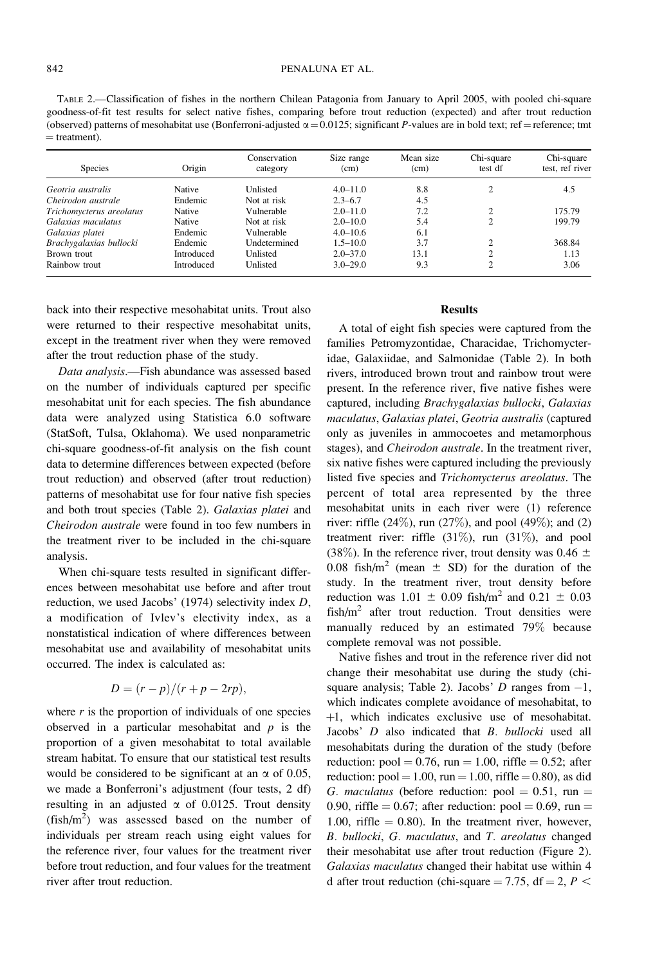TABLE 2.—Classification of fishes in the northern Chilean Patagonia from January to April 2005, with pooled chi-square goodness-of-fit test results for select native fishes, comparing before trout reduction (expected) and after trout reduction (observed) patterns of mesohabitat use (Bonferroni-adjusted  $\alpha = 0.0125$ ; significant P-values are in bold text; ref = reference; tmt  $=$  treatment).

| <b>Species</b>              | Origin        | Conservation<br>category | Size range<br>(cm) | Mean size<br>(cm) | Chi-square<br>test df | Chi-square<br>test, ref river |  |
|-----------------------------|---------------|--------------------------|--------------------|-------------------|-----------------------|-------------------------------|--|
| Native<br>Geotria australis |               | Unlisted                 | $4.0 - 11.0$       | 8.8               |                       | 4.5                           |  |
| Cheirodon australe          | Endemic       | Not at risk              | $2.3 - 6.7$        | 4.5               |                       |                               |  |
| Trichomycterus areolatus    | <b>Native</b> | Vulnerable               | $2.0 - 11.0$       | 7.2               | ↑                     | 175.79                        |  |
| Galaxias maculatus          | Native        | Not at risk              | $2.0 - 10.0$       | 5.4               | ↑                     | 199.79                        |  |
| Galaxias platei             | Endemic       | Vulnerable               | $4.0 - 10.6$       | 6.1               |                       |                               |  |
| Brachygalaxias bullocki     | Endemic       | Undetermined             | $1.5 - 10.0$       | 3.7               |                       | 368.84                        |  |
| Brown trout                 | Introduced    | Unlisted                 | $2.0 - 37.0$       | 13.1              |                       | 1.13                          |  |
| Rainbow trout               | Introduced    | Unlisted                 | $3.0 - 29.0$       | 9.3               |                       | 3.06                          |  |

back into their respective mesohabitat units. Trout also were returned to their respective mesohabitat units, except in the treatment river when they were removed after the trout reduction phase of the study.

Data analysis.—Fish abundance was assessed based on the number of individuals captured per specific mesohabitat unit for each species. The fish abundance data were analyzed using Statistica 6.0 software (StatSoft, Tulsa, Oklahoma). We used nonparametric chi-square goodness-of-fit analysis on the fish count data to determine differences between expected (before trout reduction) and observed (after trout reduction) patterns of mesohabitat use for four native fish species and both trout species (Table 2). Galaxias platei and Cheirodon australe were found in too few numbers in the treatment river to be included in the chi-square analysis.

When chi-square tests resulted in significant differences between mesohabitat use before and after trout reduction, we used Jacobs' (1974) selectivity index D, a modification of Ivlev's electivity index, as a nonstatistical indication of where differences between mesohabitat use and availability of mesohabitat units occurred. The index is calculated as:

$$
D = (r - p)/(r + p - 2rp),
$$

where  $r$  is the proportion of individuals of one species observed in a particular mesohabitat and  $p$  is the proportion of a given mesohabitat to total available stream habitat. To ensure that our statistical test results would be considered to be significant at an  $\alpha$  of 0.05, we made a Bonferroni's adjustment (four tests, 2 df) resulting in an adjusted  $\alpha$  of 0.0125. Trout density  $(fish/m<sup>2</sup>)$  was assessed based on the number of individuals per stream reach using eight values for the reference river, four values for the treatment river before trout reduction, and four values for the treatment river after trout reduction.

## **Results**

A total of eight fish species were captured from the families Petromyzontidae, Characidae, Trichomycteridae, Galaxiidae, and Salmonidae (Table 2). In both rivers, introduced brown trout and rainbow trout were present. In the reference river, five native fishes were captured, including Brachygalaxias bullocki, Galaxias maculatus, Galaxias platei, Geotria australis (captured only as juveniles in ammocoetes and metamorphous stages), and Cheirodon australe. In the treatment river, six native fishes were captured including the previously listed five species and Trichomycterus areolatus. The percent of total area represented by the three mesohabitat units in each river were (1) reference river: riffle  $(24\%)$ , run  $(27\%)$ , and pool  $(49\%)$ ; and  $(2)$ treatment river: riffle  $(31\%)$ , run  $(31\%)$ , and pool (38%). In the reference river, trout density was 0.46  $\pm$ 0.08 fish/m<sup>2</sup> (mean  $\pm$  SD) for the duration of the study. In the treatment river, trout density before reduction was 1.01  $\pm$  0.09 fish/m<sup>2</sup> and 0.21  $\pm$  0.03 fish/ $m^2$  after trout reduction. Trout densities were manually reduced by an estimated 79% because complete removal was not possible.

Native fishes and trout in the reference river did not change their mesohabitat use during the study (chisquare analysis; Table 2). Jacobs'  $D$  ranges from  $-1$ , which indicates complete avoidance of mesohabitat, to þ1, which indicates exclusive use of mesohabitat. Jacobs' D also indicated that B. bullocki used all mesohabitats during the duration of the study (before reduction:  $pool = 0.76$ , run  $= 1.00$ , riffle  $= 0.52$ ; after reduction:  $pool = 1.00$ ,  $run = 1.00$ , riffle  $= 0.80$ ), as did G. maculatus (before reduction: pool = 0.51, run = 0.90, riffle  $= 0.67$ ; after reduction: pool  $= 0.69$ , run  $=$ 1.00, riffle  $= 0.80$ ). In the treatment river, however, B. bullocki, G. maculatus, and T. areolatus changed their mesohabitat use after trout reduction (Figure 2). Galaxias maculatus changed their habitat use within 4 d after trout reduction (chi-square  $= 7.75$ , df  $= 2$ , P <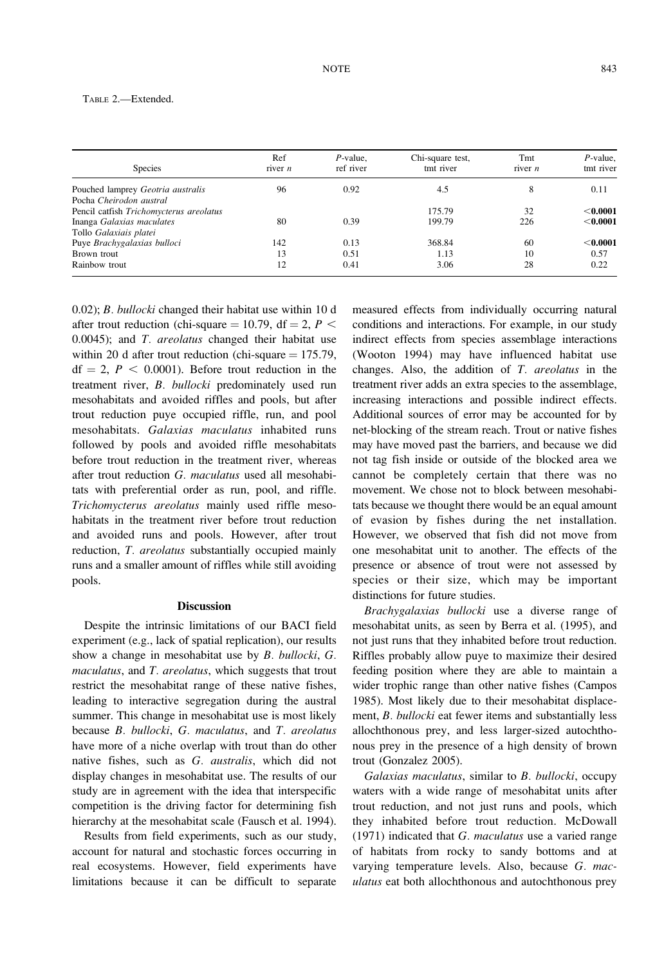| <b>Species</b>                          | Ref<br>river $n$ | $P$ -value.<br>ref river | Chi-square test,<br>tmt river | Tmt<br>river $n$ | $P$ -value,<br>tmt river |
|-----------------------------------------|------------------|--------------------------|-------------------------------|------------------|--------------------------|
| Pouched lamprey Geotria australis       | 96               | 0.92                     | 4.5                           | 8                | 0.11                     |
| Pocha Cheirodon austral                 |                  |                          |                               |                  |                          |
| Pencil catfish Trichomycterus areolatus |                  |                          | 175.79                        | 32               | < 0.0001                 |
| Inanga Galaxias maculates               | 80               | 0.39                     | 199.79                        | 226              | $<$ 0.0001               |
| Tollo Galaxiais platei                  |                  |                          |                               |                  |                          |
| Puye Brachygalaxias bulloci             | 142              | 0.13                     | 368.84                        | 60               | $<$ 0.0001               |
| Brown trout                             | 13               | 0.51                     | 1.13                          | 10               | 0.57                     |
| Rainbow trout                           | 12               | 0.41                     | 3.06                          | 28               | 0.22                     |

0.02); B. bullocki changed their habitat use within 10 d after trout reduction (chi-square  $= 10.79$ , df  $= 2$ , P  $<$ 0.0045); and  $T.$  areolatus changed their habitat use within 20 d after trout reduction (chi-square  $= 175.79$ ,  $df = 2$ ,  $P < 0.0001$ ). Before trout reduction in the treatment river, B. bullocki predominately used run mesohabitats and avoided riffles and pools, but after trout reduction puye occupied riffle, run, and pool mesohabitats. Galaxias maculatus inhabited runs followed by pools and avoided riffle mesohabitats before trout reduction in the treatment river, whereas after trout reduction G. maculatus used all mesohabitats with preferential order as run, pool, and riffle. Trichomycterus areolatus mainly used riffle mesohabitats in the treatment river before trout reduction and avoided runs and pools. However, after trout reduction, T. areolatus substantially occupied mainly runs and a smaller amount of riffles while still avoiding pools.

### Discussion

Despite the intrinsic limitations of our BACI field experiment (e.g., lack of spatial replication), our results show a change in mesohabitat use by B. bullocki, G. maculatus, and T. areolatus, which suggests that trout restrict the mesohabitat range of these native fishes, leading to interactive segregation during the austral summer. This change in mesohabitat use is most likely because B. bullocki, G. maculatus, and T. areolatus have more of a niche overlap with trout than do other native fishes, such as G. australis, which did not display changes in mesohabitat use. The results of our study are in agreement with the idea that interspecific competition is the driving factor for determining fish hierarchy at the mesohabitat scale (Fausch et al. 1994).

Results from field experiments, such as our study, account for natural and stochastic forces occurring in real ecosystems. However, field experiments have limitations because it can be difficult to separate measured effects from individually occurring natural conditions and interactions. For example, in our study indirect effects from species assemblage interactions (Wooton 1994) may have influenced habitat use changes. Also, the addition of T. areolatus in the treatment river adds an extra species to the assemblage, increasing interactions and possible indirect effects. Additional sources of error may be accounted for by net-blocking of the stream reach. Trout or native fishes may have moved past the barriers, and because we did not tag fish inside or outside of the blocked area we cannot be completely certain that there was no movement. We chose not to block between mesohabitats because we thought there would be an equal amount of evasion by fishes during the net installation. However, we observed that fish did not move from one mesohabitat unit to another. The effects of the presence or absence of trout were not assessed by species or their size, which may be important distinctions for future studies.

Brachygalaxias bullocki use a diverse range of mesohabitat units, as seen by Berra et al. (1995), and not just runs that they inhabited before trout reduction. Riffles probably allow puye to maximize their desired feeding position where they are able to maintain a wider trophic range than other native fishes (Campos 1985). Most likely due to their mesohabitat displacement, *B. bullocki* eat fewer items and substantially less allochthonous prey, and less larger-sized autochthonous prey in the presence of a high density of brown trout (Gonzalez 2005).

Galaxias maculatus, similar to B. bullocki, occupy waters with a wide range of mesohabitat units after trout reduction, and not just runs and pools, which they inhabited before trout reduction. McDowall  $(1971)$  indicated that G. maculatus use a varied range of habitats from rocky to sandy bottoms and at varying temperature levels. Also, because G. maculatus eat both allochthonous and autochthonous prey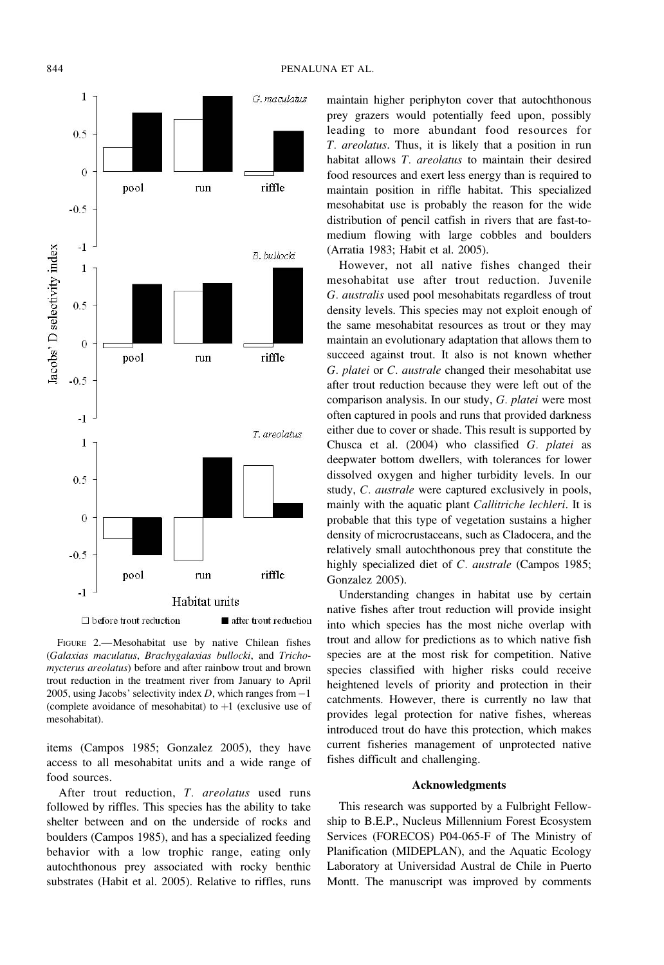

FIGURE 2.—Mesohabitat use by native Chilean fishes (Galaxias maculatus, Brachygalaxias bullocki, and Trichomycterus areolatus) before and after rainbow trout and brown trout reduction in the treatment river from January to April 2005, using Jacobs' selectivity index  $D$ , which ranges from  $-1$ (complete avoidance of mesohabitat) to  $+1$  (exclusive use of mesohabitat).

items (Campos 1985; Gonzalez 2005), they have access to all mesohabitat units and a wide range of food sources.

After trout reduction, T. areolatus used runs followed by riffles. This species has the ability to take shelter between and on the underside of rocks and boulders (Campos 1985), and has a specialized feeding behavior with a low trophic range, eating only autochthonous prey associated with rocky benthic substrates (Habit et al. 2005). Relative to riffles, runs maintain higher periphyton cover that autochthonous prey grazers would potentially feed upon, possibly leading to more abundant food resources for T. areolatus. Thus, it is likely that a position in run habitat allows T. areolatus to maintain their desired food resources and exert less energy than is required to maintain position in riffle habitat. This specialized mesohabitat use is probably the reason for the wide distribution of pencil catfish in rivers that are fast-tomedium flowing with large cobbles and boulders (Arratia 1983; Habit et al. 2005).

However, not all native fishes changed their mesohabitat use after trout reduction. Juvenile G. australis used pool mesohabitats regardless of trout density levels. This species may not exploit enough of the same mesohabitat resources as trout or they may maintain an evolutionary adaptation that allows them to succeed against trout. It also is not known whether G. platei or C. australe changed their mesohabitat use after trout reduction because they were left out of the comparison analysis. In our study, G. platei were most often captured in pools and runs that provided darkness either due to cover or shade. This result is supported by Chusca et al. (2004) who classified G. platei as deepwater bottom dwellers, with tolerances for lower dissolved oxygen and higher turbidity levels. In our study, C. australe were captured exclusively in pools, mainly with the aquatic plant Callitriche lechleri. It is probable that this type of vegetation sustains a higher density of microcrustaceans, such as Cladocera, and the relatively small autochthonous prey that constitute the highly specialized diet of C. australe (Campos 1985; Gonzalez 2005).

Understanding changes in habitat use by certain native fishes after trout reduction will provide insight into which species has the most niche overlap with trout and allow for predictions as to which native fish species are at the most risk for competition. Native species classified with higher risks could receive heightened levels of priority and protection in their catchments. However, there is currently no law that provides legal protection for native fishes, whereas introduced trout do have this protection, which makes current fisheries management of unprotected native fishes difficult and challenging.

# Acknowledgments

This research was supported by a Fulbright Fellowship to B.E.P., Nucleus Millennium Forest Ecosystem Services (FORECOS) P04-065-F of The Ministry of Planification (MIDEPLAN), and the Aquatic Ecology Laboratory at Universidad Austral de Chile in Puerto Montt. The manuscript was improved by comments